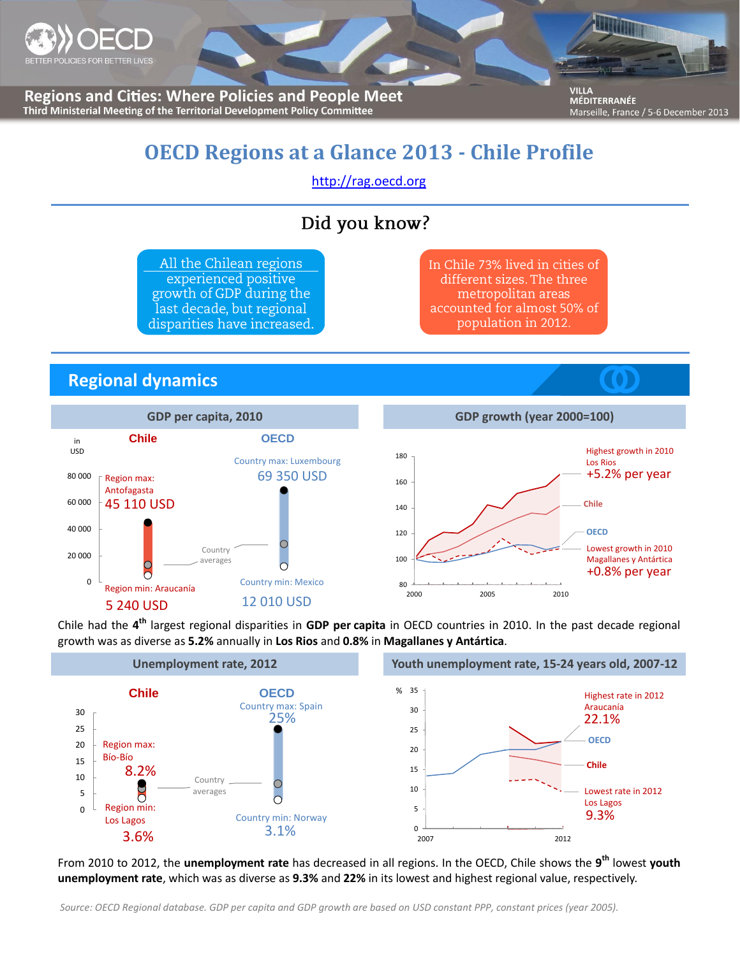

**Regions and Cities: Where Policies and People Meet** Third Ministerial Meeting of the Territorial Development Policy Committee

**VILLA** MÉDITERRANÉE Marseille, France / 5-6 December 2013

# **OECD Regions at a Glance 2013 - Chile Profile**

[http://rag.oecd.org](http://rag.oecd.org/)

### Did you know?

All the Chilean regions experienced positive growth of GDP during the last decade, but regional disparities have increased.

In Chile 73% lived in cities of different sizes. The three metropolitan areas accounted for almost 50% of population in 2012.

#### **Regional dynamics**



Chile had the **4 th** largest regional disparities in **GDP per capita** in OECD countries in 2010. In the past decade regional growth was as diverse as **5.2%** annually in **Los Rios** and **0.8%** in **Magallanes y Antártica**.



From 2010 to 2012, the **unemployment rate** has decreased in all regions. In the OECD, Chile shows the **9 th** lowest **youth unemployment rate**, which was as diverse as **9.3%** and **22%** in its lowest and highest regional value, respectively.

*Source: OECD Regional database. GDP per capita and GDP growth are based on USD constant PPP, constant prices (year 2005).*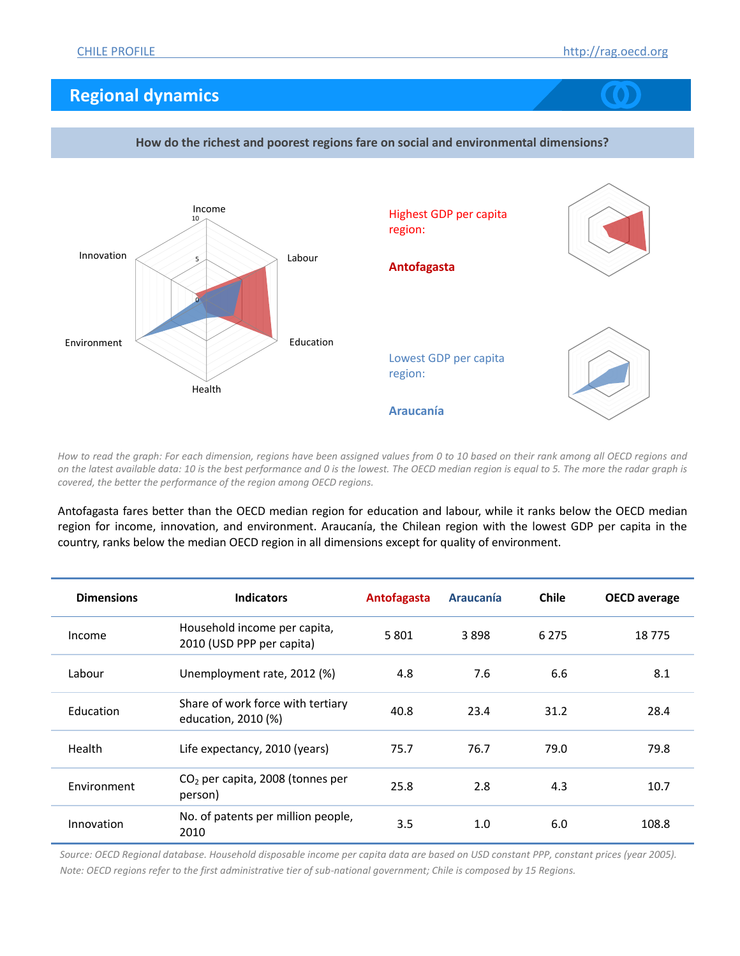## **Regional dynamics**



*How to read the graph: For each dimension, regions have been assigned values from 0 to 10 based on their rank among all OECD regions and on the latest available data: 10 is the best performance and 0 is the lowest. The OECD median region is equal to 5. The more the radar graph is covered, the better the performance of the region among OECD regions.*

Antofagasta fares better than the OECD median region for education and labour, while it ranks below the OECD median region for income, innovation, and environment. Araucanía, the Chilean region with the lowest GDP per capita in the country, ranks below the median OECD region in all dimensions except for quality of environment.

| <b>Dimensions</b> | <b>Indicators</b>                                         | Antofagasta | <b>Araucanía</b> | <b>Chile</b> | <b>OECD</b> average |
|-------------------|-----------------------------------------------------------|-------------|------------------|--------------|---------------------|
| Income            | Household income per capita,<br>2010 (USD PPP per capita) | 5801        | 3898             | 6 2 7 5      | 18775               |
| Labour            | Unemployment rate, 2012 (%)                               | 4.8         | 7.6              | 6.6          | 8.1                 |
| Education         | Share of work force with tertiary<br>education, 2010 (%)  | 40.8        | 23.4             | 31.2         | 28.4                |
| Health            | Life expectancy, 2010 (years)                             | 75.7        | 76.7             | 79.0         | 79.8                |
| Environment       | $CO2$ per capita, 2008 (tonnes per<br>person)             | 25.8        | 2.8              | 4.3          | 10.7                |
| Innovation        | No. of patents per million people,<br>2010                | 3.5         | 1.0              | 6.0          | 108.8               |

*Source: OECD Regional database. Household disposable income per capita data are based on USD constant PPP, constant prices (year 2005). Note: OECD regions refer to the first administrative tier of sub-national government; Chile is composed by 15 Regions.*

#### **How do the richest and poorest regions fare on social and environmental dimensions?**